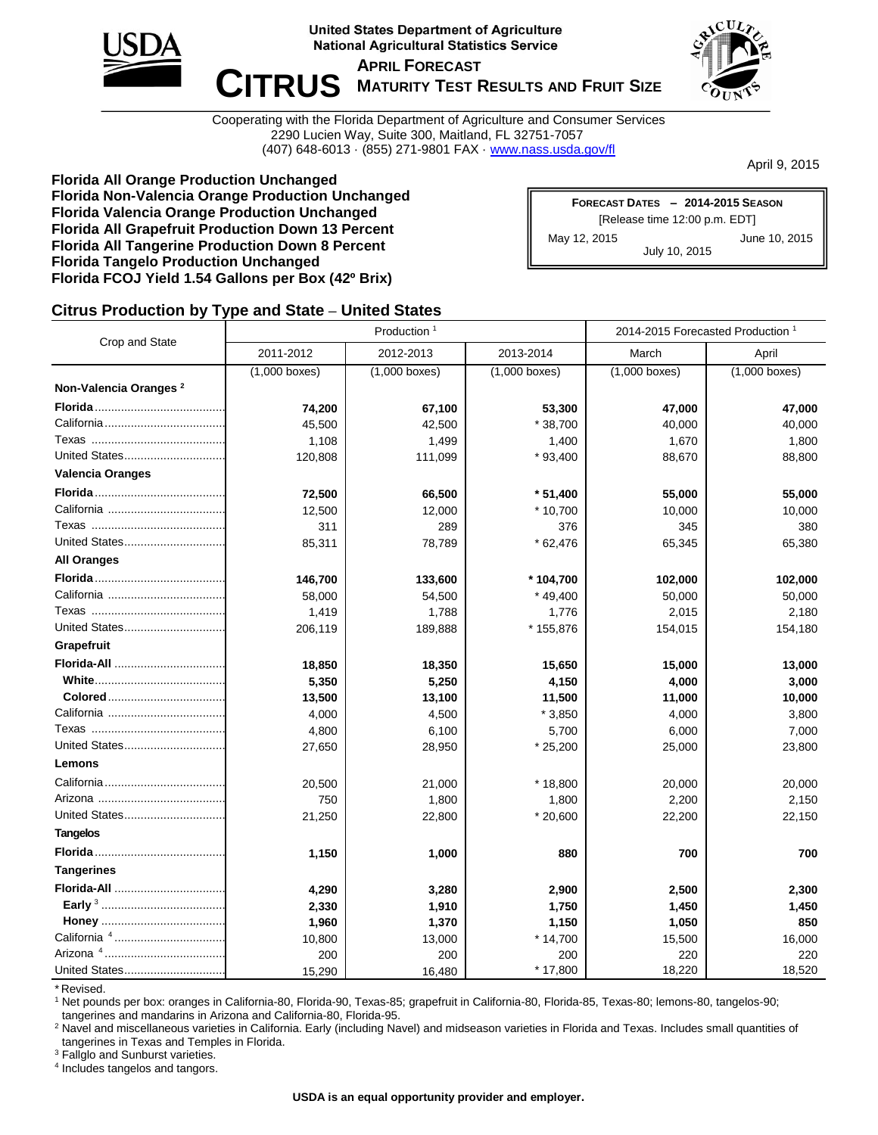

**United States Department of Agriculture National Agricultural Statistics Service** 

 $\blacksquare$  **CITRUS** MATURITY TEST RESULTS AND FRUIT SIZE **APRIL FORECAST**



Cooperating with the Florida Department of Agriculture and Consumer Services 2290 Lucien Way, Suite 300, Maitland, FL 32751-7057 (407) 648-6013 · (855) 271-9801 FAX · [www.nass.usda.gov/fl](http://www.nass.usda.gov/fl)

April 9, 2015

**Florida All Orange Production Unchanged Florida Non-Valencia Orange Production Unchanged Florida Valencia Orange Production Unchanged Florida All Grapefruit Production Down 13 Percent Florida All Tangerine Production Down 8 Percent Florida Tangelo Production Unchanged Florida FCOJ Yield 1.54 Gallons per Box (42º Brix)**

| FORECAST DATES - 2014-2015 SEASON |               |  |  |  |  |  |  |
|-----------------------------------|---------------|--|--|--|--|--|--|
| [Release time 12:00 p.m. EDT]     |               |  |  |  |  |  |  |
| May 12, 2015                      | June 10, 2015 |  |  |  |  |  |  |
| July 10, 2015                     |               |  |  |  |  |  |  |

## **Citrus Production by Type and State – United States**

|                                   |                        | Production <sup>1</sup> | 2014-2015 Forecasted Production <sup>1</sup> |                 |                 |  |
|-----------------------------------|------------------------|-------------------------|----------------------------------------------|-----------------|-----------------|--|
| Crop and State                    | 2011-2012<br>2012-2013 |                         | 2013-2014                                    | March           | April           |  |
|                                   | $(1,000$ boxes)        | $(1,000$ boxes)         | $(1,000$ boxes)                              | $(1,000$ boxes) | $(1,000$ boxes) |  |
| Non-Valencia Oranges <sup>2</sup> |                        |                         |                                              |                 |                 |  |
|                                   | 74,200                 | 67,100                  | 53,300                                       | 47,000          | 47,000          |  |
|                                   | 45,500                 | 42,500                  | $*38,700$                                    | 40,000          | 40,000          |  |
|                                   | 1,108                  | 1,499                   | 1,400                                        | 1,670           | 1,800           |  |
| United States                     | 120,808                | 111,099                 | $*93,400$                                    | 88,670          | 88,800          |  |
| <b>Valencia Oranges</b>           |                        |                         |                                              |                 |                 |  |
|                                   | 72,500                 | 66,500                  | $*51,400$                                    | 55,000          | 55,000          |  |
|                                   | 12,500                 | 12,000                  | $*10,700$                                    | 10,000          | 10,000          |  |
|                                   | 311                    | 289                     | 376                                          | 345             | 380             |  |
| United States                     | 85,311                 | 78,789                  | $*62,476$                                    | 65,345          | 65,380          |  |
| <b>All Oranges</b>                |                        |                         |                                              |                 |                 |  |
|                                   | 146,700                | 133,600                 | * 104,700                                    | 102,000         | 102,000         |  |
|                                   | 58,000                 | 54,500                  | $*49,400$                                    | 50,000          | 50,000          |  |
|                                   | 1,419                  | 1,788                   | 1,776                                        | 2,015           | 2,180           |  |
| United States                     | 206,119                | 189,888                 | * 155,876                                    | 154,015         | 154,180         |  |
| Grapefruit                        |                        |                         |                                              |                 |                 |  |
| Florida-All                       | 18,850                 | 18,350                  | 15,650                                       | 15,000          | 13,000          |  |
|                                   | 5,350                  | 5,250                   | 4,150                                        | 4,000           | 3,000           |  |
|                                   | 13,500                 | 13,100                  | 11,500                                       | 11,000          | 10,000          |  |
|                                   | 4,000                  | 4,500                   | $*3,850$                                     | 4,000           | 3,800           |  |
|                                   | 4,800                  | 6,100                   | 5,700                                        | 6,000           | 7,000           |  |
| United States                     | 27,650                 | 28,950                  | $*25,200$                                    | 25,000          | 23,800          |  |
| Lemons                            |                        |                         |                                              |                 |                 |  |
|                                   | 20,500                 | 21,000                  | $*18,800$                                    | 20,000          | 20,000          |  |
|                                   | 750                    | 1,800                   | 1,800                                        | 2,200           | 2,150           |  |
| United States                     | 21,250                 | 22,800                  | $*20,600$                                    | 22,200          | 22,150          |  |
| <b>Tangelos</b>                   |                        |                         |                                              |                 |                 |  |
|                                   | 1,150                  | 1,000                   | 880                                          | 700             | 700             |  |
| <b>Tangerines</b>                 |                        |                         |                                              |                 |                 |  |
|                                   | 4,290                  | 3,280                   | 2,900                                        | 2,500           | 2,300           |  |
|                                   | 2,330                  | 1,910                   | 1,750                                        | 1,450           | 1,450           |  |
|                                   | 1,960                  | 1,370                   | 1,150                                        | 1,050           | 850             |  |
| California 4                      | 10,800                 | 13,000                  | $*14,700$                                    | 15,500          | 16,000          |  |
|                                   | 200                    | 200                     | 200                                          | 220             | 220             |  |
| United States                     | 15,290                 | 16,480                  | * 17,800                                     | 18,220          | 18,520          |  |

\* Revised.

<sup>1</sup> Net pounds per box: oranges in California-80, Florida-90, Texas-85; grapefruit in California-80, Florida-85, Texas-80; lemons-80, tangelos-90; tangerines and mandarins in Arizona and California-80, Florida-95.

<sup>2</sup> Navel and miscellaneous varieties in California. Early (including Navel) and midseason varieties in Florida and Texas. Includes small quantities of tangerines in Texas and Temples in Florida.

<sup>3</sup> Fallglo and Sunburst varieties.

4 Includes tangelos and tangors.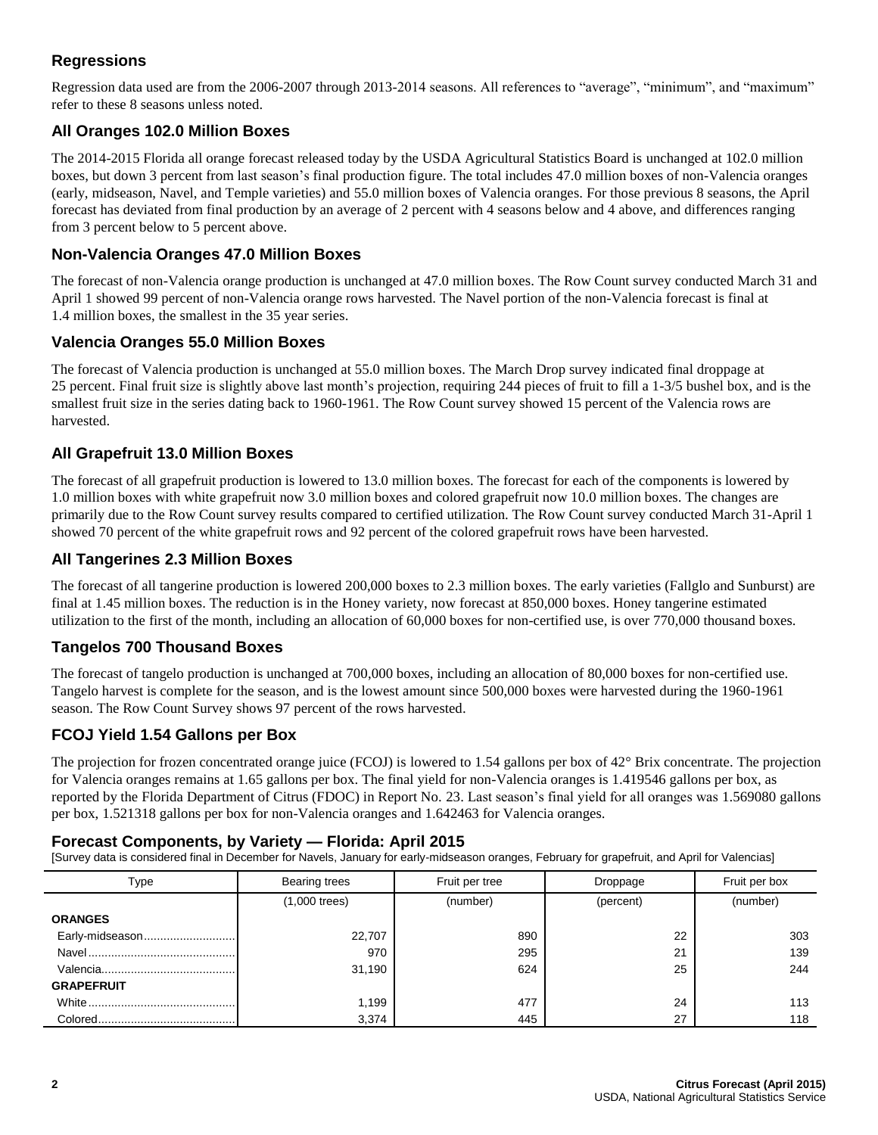# **Regressions**

Regression data used are from the 2006-2007 through 2013-2014 seasons. All references to "average", "minimum", and "maximum" refer to these 8 seasons unless noted.

## **All Oranges 102.0 Million Boxes**

The 2014-2015 Florida all orange forecast released today by the USDA Agricultural Statistics Board is unchanged at 102.0 million boxes, but down 3 percent from last season's final production figure. The total includes 47.0 million boxes of non-Valencia oranges (early, midseason, Navel, and Temple varieties) and 55.0 million boxes of Valencia oranges. For those previous 8 seasons, the April forecast has deviated from final production by an average of 2 percent with 4 seasons below and 4 above, and differences ranging from 3 percent below to 5 percent above.

## **Non-Valencia Oranges 47.0 Million Boxes**

The forecast of non-Valencia orange production is unchanged at 47.0 million boxes. The Row Count survey conducted March 31 and April 1 showed 99 percent of non-Valencia orange rows harvested. The Navel portion of the non-Valencia forecast is final at 1.4 million boxes, the smallest in the 35 year series.

### **Valencia Oranges 55.0 Million Boxes**

The forecast of Valencia production is unchanged at 55.0 million boxes. The March Drop survey indicated final droppage at 25 percent. Final fruit size is slightly above last month's projection, requiring 244 pieces of fruit to fill a 1-3/5 bushel box, and is the smallest fruit size in the series dating back to 1960-1961. The Row Count survey showed 15 percent of the Valencia rows are harvested.

## **All Grapefruit 13.0 Million Boxes**

The forecast of all grapefruit production is lowered to 13.0 million boxes. The forecast for each of the components is lowered by 1.0 million boxes with white grapefruit now 3.0 million boxes and colored grapefruit now 10.0 million boxes. The changes are primarily due to the Row Count survey results compared to certified utilization. The Row Count survey conducted March 31-April 1 showed 70 percent of the white grapefruit rows and 92 percent of the colored grapefruit rows have been harvested.

### **All Tangerines 2.3 Million Boxes**

The forecast of all tangerine production is lowered 200,000 boxes to 2.3 million boxes. The early varieties (Fallglo and Sunburst) are final at 1.45 million boxes. The reduction is in the Honey variety, now forecast at 850,000 boxes. Honey tangerine estimated utilization to the first of the month, including an allocation of 60,000 boxes for non-certified use, is over 770,000 thousand boxes.

## **Tangelos 700 Thousand Boxes**

The forecast of tangelo production is unchanged at 700,000 boxes, including an allocation of 80,000 boxes for non-certified use. Tangelo harvest is complete for the season, and is the lowest amount since 500,000 boxes were harvested during the 1960-1961 season. The Row Count Survey shows 97 percent of the rows harvested.

#### **FCOJ Yield 1.54 Gallons per Box**

The projection for frozen concentrated orange juice (FCOJ) is lowered to 1.54 gallons per box of 42° Brix concentrate. The projection for Valencia oranges remains at 1.65 gallons per box. The final yield for non-Valencia oranges is 1.419546 gallons per box, as reported by the Florida Department of Citrus (FDOC) in Report No. 23. Last season's final yield for all oranges was 1.569080 gallons per box, 1.521318 gallons per box for non-Valencia oranges and 1.642463 for Valencia oranges.

#### **Forecast Components, by Variety — Florida: April 2015**

[Survey data is considered final in December for Navels, January for early-midseason oranges, February for grapefruit, and April for Valencias]

| Type              | <b>Bearing trees</b> | Fruit per tree | Droppage  | Fruit per box |  |
|-------------------|----------------------|----------------|-----------|---------------|--|
|                   | $(1,000$ trees)      | (number)       | (percent) | (number)      |  |
| <b>ORANGES</b>    |                      |                |           |               |  |
| Early-midseason   | 22,707               | 890            | 22        | 303           |  |
|                   | 970                  | 295            | 21        | 139           |  |
|                   | 31,190               | 624            | 25        | 244           |  |
| <b>GRAPEFRUIT</b> |                      |                |           |               |  |
|                   | 1,199                | 477            | 24        | 113           |  |
|                   | 3,374                | 445            | 27        | 118           |  |